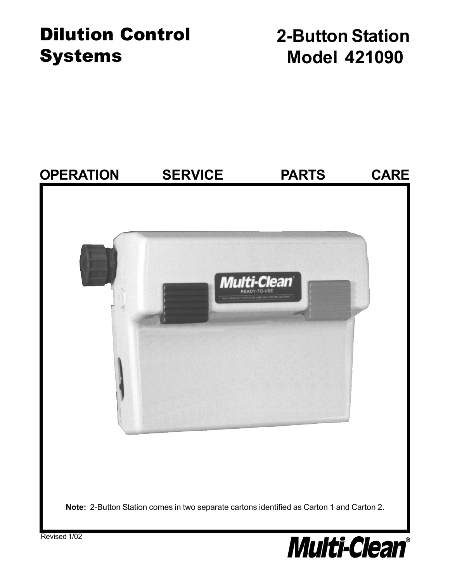# Dilution Control Systems

**2-Button Station Model 421090**

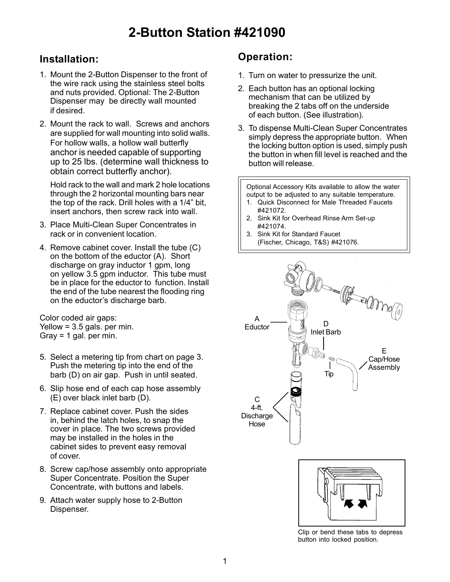## **Installation:**

- 1. Mount the 2-Button Dispenser to the front of the wire rack using the stainless steel bolts and nuts provided. Optional: The 2-Button Dispenser may be directly wall mounted if desired.
- 2. Mount the rack to wall. Screws and anchors are supplied for wall mounting into solid walls. For hollow walls, a hollow wall butterfly anchor is needed capable of supporting up to 25 lbs. (determine wall thickness to obtain correct butterfly anchor).

Hold rack to the wall and mark 2 hole locations through the 2 horizontal mounting bars near the top of the rack. Drill holes with a 1/4" bit, insert anchors, then screw rack into wall.

- 3. Place Multi-Clean Super Concentrates in rack or in convenient location.
- 4. Remove cabinet cover. Install the tube (C) on the bottom of the eductor (A). Short discharge on gray inductor 1 gpm, long on yellow 3.5 gpm inductor. This tube must be in place for the eductor to function. Install the end of the tube nearest the flooding ring on the eductor's discharge barb.

Color coded air gaps: Yellow =  $3.5$  gals. per min. Gray = 1 gal. per min.

- 5. Select a metering tip from chart on page 3. Push the metering tip into the end of the barb (D) on air gap. Push in until seated.
- 6. Slip hose end of each cap hose assembly (E) over black inlet barb (D).
- 7. Replace cabinet cover. Push the sides in, behind the latch holes, to snap the cover in place. The two screws provided may be installed in the holes in the cabinet sides to prevent easy removal of cover.
- 8. Screw cap/hose assembly onto appropriate Super Concentrate. Position the Super Concentrate, with buttons and labels.
- 9. Attach water supply hose to 2-Button Dispenser.

### **Operation:**

- 1. Turn on water to pressurize the unit.
- 2. Each button has an optional locking mechanism that can be utilized by breaking the 2 tabs off on the underside of each button. (See illustration).
- 3. To dispense Multi-Clean Super Concentrates simply depress the appropriate button. When the locking button option is used, simply push the button in when fill level is reached and the button will release.

Optional Accessory Kits available to allow the water output to be adjusted to any suitable temperature.

- 1. Quick Disconnect for Male Threaded Faucets #421072.
- 2. Sink Kit for Overhead Rinse Arm Set-up #421074.
- 3. Sink Kit for Standard Faucet (Fischer, Chicago, T&S) #421076.





Clip or bend these tabs to depress button into locked position.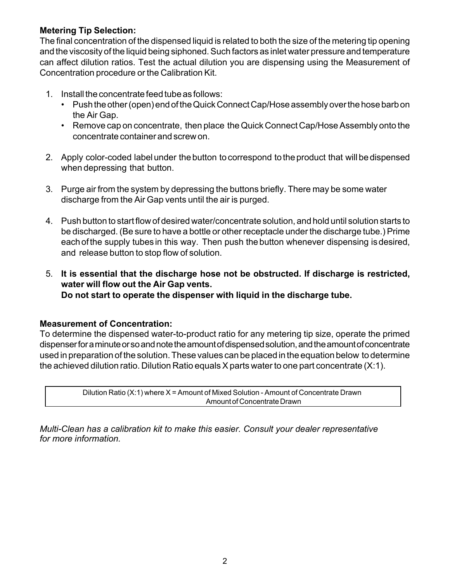#### **Metering Tip Selection:**

The final concentration of the dispensed liquid is related to both the size of the metering tip opening and the viscosity of the liquid being siphoned. Such factors as inlet water pressure and temperature can affect dilution ratios. Test the actual dilution you are dispensing using the Measurement of Concentration procedure or the Calibration Kit.

- 1. Install the concentrate feed tube as follows:
	- Push the other (open) end of the Quick Connect Cap/Hose assembly over the hose barb on the Air Gap.
	- Remove cap on concentrate, then place the Quick Connect Cap/Hose Assembly onto the concentrate container and screw on.
- 2. Apply color-coded label under the button to correspond to the product that will be dispensed when depressing that button.
- 3. Purge air from the system by depressing the buttons briefly. There may be some water discharge from the Air Gap vents until the air is purged.
- 4. Push button to start flow of desired water/concentrate solution, and hold until solution starts to be discharged. (Be sure to have a bottle or other receptacle under the discharge tube.) Prime each of the supply tubes in this way. Then push the button whenever dispensing is desired, and release button to stop flow of solution.
- 5. **It is essential that the discharge hose not be obstructed. If discharge is restricted, water will flow out the Air Gap vents. Do not start to operate the dispenser with liquid in the discharge tube.**

#### **Measurement of Concentration:**

To determine the dispensed water-to-product ratio for any metering tip size, operate the primed dispenser for a minute or so and note the amount of dispensed solution, and the amount of concentrate used in preparation of the solution. These values can be placed in the equation below to determine the achieved dilution ratio. Dilution Ratio equals X parts water to one part concentrate (X:1).

> Dilution Ratio (X:1) where X = Amount of Mixed Solution - Amount of Concentrate Drawn Amount of Concentrate Drawn

*Multi-Clean has a calibration kit to make this easier. Consult your dealer representative for more information.*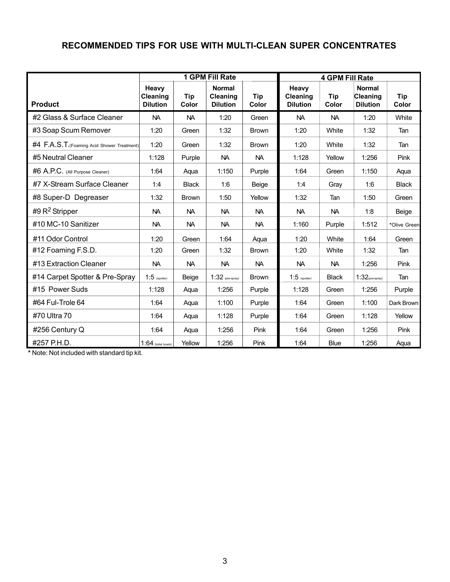#### **RECOMMENDED TIPS FOR USE WITH MULTI-CLEAN SUPER CONCENTRATES**

|                                             | <b>1 GPM Fill Rate</b>               |              |                                                     |              | <b>4 GPM Fill Rate</b>               |              |                                              |              |
|---------------------------------------------|--------------------------------------|--------------|-----------------------------------------------------|--------------|--------------------------------------|--------------|----------------------------------------------|--------------|
| <b>Product</b>                              | Heavy<br>Cleaning<br><b>Dilution</b> | Tip<br>Color | <b>Normal</b><br><b>Cleaning</b><br><b>Dilution</b> | Tip<br>Color | Heavy<br>Cleaning<br><b>Dilution</b> | Tip<br>Color | <b>Normal</b><br>Cleaning<br><b>Dilution</b> | Tip<br>Color |
| #2 Glass & Surface Cleaner                  | <b>NA</b>                            | <b>NA</b>    | 1:20                                                | Green        | <b>NA</b>                            | <b>NA</b>    | 1:20                                         | White        |
| #3 Soap Scum Remover                        | 1:20                                 | Green        | 1:32                                                | <b>Brown</b> | 1:20                                 | White        | 1:32                                         | Tan          |
| #4 F.A.S.T. (Foaming Acid Shower Treatment) | 1:20                                 | Green        | 1:32                                                | <b>Brown</b> | 1:20                                 | White        | 1:32                                         | Tan          |
| #5 Neutral Cleaner                          | 1:128                                | Purple       | <b>NA</b>                                           | NA.          | 1:128                                | Yellow       | 1:256                                        | Pink         |
| #6 A.P.C. (All Purpose Cleaner)             | 1:64                                 | Aqua         | 1:150                                               | Purple       | 1:64                                 | Green        | 1:150                                        | Aqua         |
| #7 X-Stream Surface Cleaner                 | 1:4                                  | <b>Black</b> | 1:6                                                 | Beige        | 1:4                                  | Gray         | 1:6                                          | <b>Black</b> |
| #8 Super-D Degreaser                        | 1:32                                 | <b>Brown</b> | 1:50                                                | Yellow       | 1:32                                 | Tan          | 1:50                                         | Green        |
| #9 R <sup>2</sup> Stripper                  | <b>NA</b>                            | <b>NA</b>    | <b>NA</b>                                           | <b>NA</b>    | <b>NA</b>                            | <b>NA</b>    | 1:8                                          | Beige        |
| #10 MC-10 Sanitizer                         | <b>NA</b>                            | NA.          | <b>NA</b>                                           | NA.          | 1:160                                | Purple       | 1:512                                        | *Olive Green |
| #11 Odor Control                            | 1:20                                 | Green        | 1:64                                                | Aqua         | 1:20                                 | White        | 1:64                                         | Green        |
| #12 Foaming F.S.D.                          | 1:20                                 | Green        | 1:32                                                | <b>Brown</b> | 1:20                                 | White        | 1:32                                         | Tan          |
| #13 Extraction Cleaner                      | <b>NA</b>                            | <b>NA</b>    | <b>NA</b>                                           | <b>NA</b>    | <b>NA</b>                            | <b>NA</b>    | 1:256                                        | Pink         |
| #14 Carpet Spotter & Pre-Spray              | $1:5$ (spotter)                      | Beige        | $1:32$ (pre-spray)                                  | <b>Brown</b> | $1:5$ (spotter)                      | <b>Black</b> | $1:32$ (pre-spray)                           | Tan          |
| #15 Power Suds                              | 1:128                                | Aqua         | 1:256                                               | Purple       | 1:128                                | Green        | 1:256                                        | Purple       |
| #64 Ful-Trole 64                            | 1:64                                 | Aqua         | 1:100                                               | Purple       | 1:64                                 | Green        | 1:100                                        | Dark Brown   |
| #70 Ultra 70                                | 1:64                                 | Aqua         | 1:128                                               | Purple       | 1:64                                 | Green        | 1:128                                        | Yellow       |
| #256 Century Q                              | 1:64                                 | Aqua         | 1:256                                               | Pink         | 1:64                                 | Green        | 1:256                                        | Pink         |
| #257 P.H.D.                                 | $1:64$ (toilet bowls)                | Yellow       | 1:256                                               | Pink         | 1:64                                 | <b>Blue</b>  | 1:256                                        | Aqua         |

**\*** Note: Not included with standard tip kit.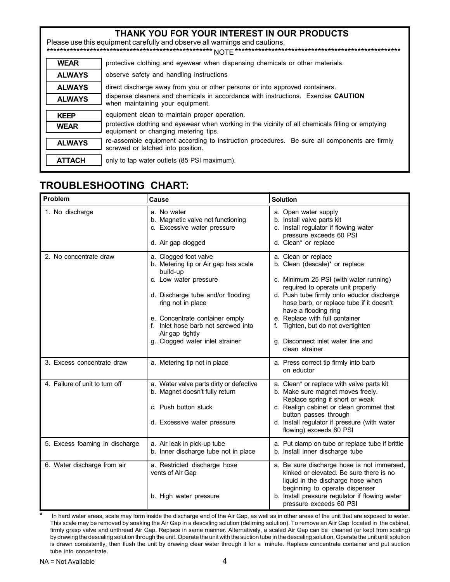| THANK YOU FOR YOUR INTEREST IN OUR PRODUCTS<br>Please use this equipment carefully and observe all warnings and cautions. |                                                                                                                                           |  |  |  |  |
|---------------------------------------------------------------------------------------------------------------------------|-------------------------------------------------------------------------------------------------------------------------------------------|--|--|--|--|
| <b>WEAR</b>                                                                                                               | protective clothing and eyewear when dispensing chemicals or other materials.                                                             |  |  |  |  |
| <b>ALWAYS</b>                                                                                                             | observe safety and handling instructions                                                                                                  |  |  |  |  |
| <b>ALWAYS</b>                                                                                                             | direct discharge away from you or other persons or into approved containers.                                                              |  |  |  |  |
| <b>ALWAYS</b>                                                                                                             | dispense cleaners and chemicals in accordance with instructions. Exercise CAUTION<br>when maintaining your equipment.                     |  |  |  |  |
| <b>KEEP</b>                                                                                                               | equipment clean to maintain proper operation.                                                                                             |  |  |  |  |
| <b>WEAR</b>                                                                                                               | protective clothing and evewear when working in the vicinity of all chemicals filling or emptying<br>equipment or changing metering tips. |  |  |  |  |
| <b>ALWAYS</b>                                                                                                             | re-assemble equipment according to instruction procedures. Be sure all components are firmly<br>screwed or latched into position.         |  |  |  |  |
| <b>ATTACH</b>                                                                                                             | only to tap water outlets (85 PSI maximum).                                                                                               |  |  |  |  |

# **TROUBLESHOOTING CHART:**

| Problem                        | Cause                                                                                                                                                                                                                                                                                       | <b>Solution</b>                                                                                                                                                                                                                                                                                                                                                                        |
|--------------------------------|---------------------------------------------------------------------------------------------------------------------------------------------------------------------------------------------------------------------------------------------------------------------------------------------|----------------------------------------------------------------------------------------------------------------------------------------------------------------------------------------------------------------------------------------------------------------------------------------------------------------------------------------------------------------------------------------|
| 1. No discharge                | a. No water<br>b. Magnetic valve not functioning<br>c. Excessive water pressure<br>d. Air gap clogged                                                                                                                                                                                       | a. Open water supply<br>b. Install valve parts kit<br>c. Install regulator if flowing water<br>pressure exceeds 60 PSI<br>d. Clean* or replace                                                                                                                                                                                                                                         |
| 2. No concentrate draw         | a. Clogged foot valve<br>b. Metering tip or Air gap has scale<br>build-up<br>c. Low water pressure<br>d. Discharge tube and/or flooding<br>ring not in place<br>e. Concentrate container empty<br>f. Inlet hose barb not screwed into<br>Air gap tightly<br>g. Clogged water inlet strainer | a. Clean or replace<br>b. Clean (descale)* or replace<br>c. Minimum 25 PSI (with water running)<br>required to operate unit properly<br>d. Push tube firmly onto eductor discharge<br>hose barb, or replace tube if it doesn't<br>have a flooding ring<br>e. Replace with full container<br>f. Tighten, but do not overtighten<br>g. Disconnect inlet water line and<br>clean strainer |
| 3. Excess concentrate draw     | a. Metering tip not in place                                                                                                                                                                                                                                                                | a. Press correct tip firmly into barb<br>on eductor                                                                                                                                                                                                                                                                                                                                    |
| 4. Failure of unit to turn off | a. Water valve parts dirty or defective<br>b. Magnet doesn't fully return<br>c. Push button stuck<br>d. Excessive water pressure                                                                                                                                                            | a. Clean* or replace with valve parts kit<br>b. Make sure magnet moves freely.<br>Replace spring if short or weak<br>c. Realign cabinet or clean grommet that<br>button passes through<br>d. Install regulator if pressure (with water<br>flowing) exceeds 60 PSI                                                                                                                      |
| 5. Excess foaming in discharge | a. Air leak in pick-up tube<br>b. Inner discharge tube not in place                                                                                                                                                                                                                         | a. Put clamp on tube or replace tube if brittle<br>b. Install inner discharge tube                                                                                                                                                                                                                                                                                                     |
| 6. Water discharge from air    | a. Restricted discharge hose<br>vents of Air Gap<br>b. High water pressure                                                                                                                                                                                                                  | a. Be sure discharge hose is not immersed,<br>kinked or elevated. Be sure there is no<br>liquid in the discharge hose when<br>beginning to operate dispenser<br>b. Install pressure regulator if flowing water<br>pressure exceeds 60 PSI                                                                                                                                              |

**\*** In hard water areas, scale may form inside the discharge end of the Air Gap, as well as in other areas of the unit that are exposed to water. This scale may be removed by soaking the Air Gap in a descaling solution (deliming solution). To remove an Aiir Gap located in the cabinet, firmly grasp valve and unthread Air Gap. Replace in same manner. Alternatively, a scaled Air Gap can be cleaned (or kept from scaling) by drawing the descaling solution through the unit. Operate the unit with the suction tube in the descaling solution. Operate the unit until solution is drawn consistently, then flush the unit by drawing clear water through it for a minute. Replace concentrate container and put suction tube into concentrate.